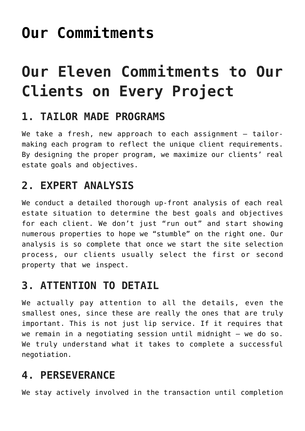# **[Our Commitments](https://resultsrealestateinc.com/commitments/)**

# **Our Eleven Commitments to Our Clients on Every Project**

#### **1. TAILOR MADE PROGRAMS**

We take a fresh, new approach to each assignment - tailormaking each program to reflect the unique client requirements. By designing the proper program, we maximize our clients' real estate goals and objectives.

### **2. EXPERT ANALYSIS**

We conduct a detailed thorough up-front analysis of each real estate situation to determine the best goals and objectives for each client. We don't just "run out" and start showing numerous properties to hope we "stumble" on the right one. Our analysis is so complete that once we start the site selection process, our clients usually select the first or second property that we inspect.

### **3. ATTENTION TO DETAIL**

We actually pay attention to all the details, even the smallest ones, since these are really the ones that are truly important. This is not just lip service. If it requires that we remain in a negotiating session until midnight – we do so. We truly understand what it takes to complete a successful negotiation.

## **4. PERSEVERANCE**

We stay actively involved in the transaction until completion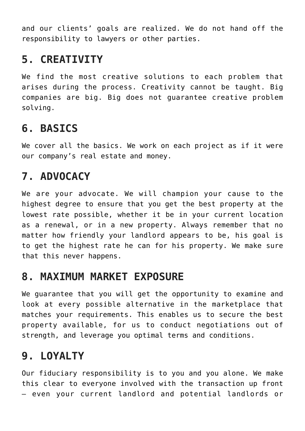and our clients' goals are realized. We do not hand off the responsibility to lawyers or other parties.

#### **5. CREATIVITY**

We find the most creative solutions to each problem that arises during the process. Creativity cannot be taught. Big companies are big. Big does not guarantee creative problem solving.

#### **6. BASICS**

We cover all the basics. We work on each project as if it were our company's real estate and money.

## **7. ADVOCACY**

We are your advocate. We will champion your cause to the highest degree to ensure that you get the best property at the lowest rate possible, whether it be in your current location as a renewal, or in a new property. Always remember that no matter how friendly your landlord appears to be, his goal is to get the highest rate he can for his property. We make sure that this never happens.

#### **8. MAXIMUM MARKET EXPOSURE**

We guarantee that you will get the opportunity to examine and look at every possible alternative in the marketplace that matches your requirements. This enables us to secure the best property available, for us to conduct negotiations out of strength, and leverage you optimal terms and conditions.

### **9. LOYALTY**

Our fiduciary responsibility is to you and you alone. We make this clear to everyone involved with the transaction up front – even your current landlord and potential landlords or